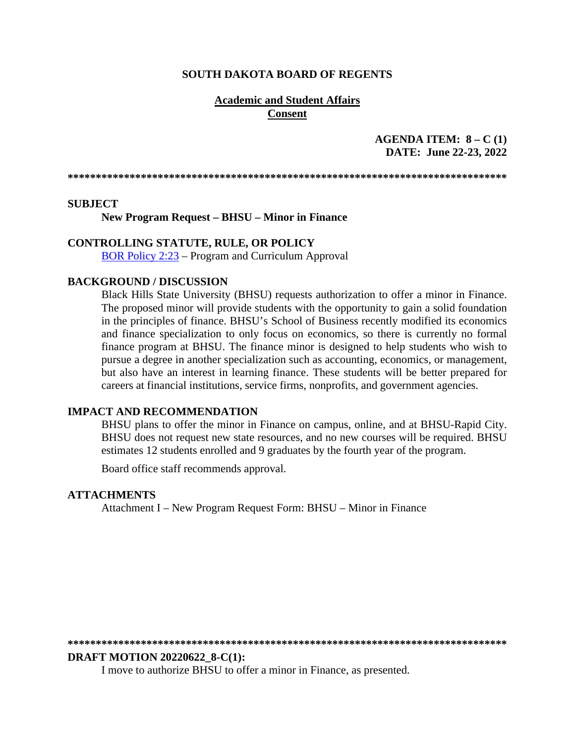### **SOUTH DAKOTA BOARD OF REGENTS**

### **Academic and Student Affairs Consent**

## **AGENDA ITEM: 8 – C (1) DATE: June 22-23, 2022**

**\*\*\*\*\*\*\*\*\*\*\*\*\*\*\*\*\*\*\*\*\*\*\*\*\*\*\*\*\*\*\*\*\*\*\*\*\*\*\*\*\*\*\*\*\*\*\*\*\*\*\*\*\*\*\*\*\*\*\*\*\*\*\*\*\*\*\*\*\*\*\*\*\*\*\*\*\*\*** 

#### **SUBJECT**

**New Program Request – BHSU – Minor in Finance**

### **CONTROLLING STATUTE, RULE, OR POLICY**

[BOR Policy 2:23](https://www.sdbor.edu/policy/Documents/2-23.pdf) – Program and Curriculum Approval

### **BACKGROUND / DISCUSSION**

Black Hills State University (BHSU) requests authorization to offer a minor in Finance. The proposed minor will provide students with the opportunity to gain a solid foundation in the principles of finance. BHSU's School of Business recently modified its economics and finance specialization to only focus on economics, so there is currently no formal finance program at BHSU. The finance minor is designed to help students who wish to pursue a degree in another specialization such as accounting, economics, or management, but also have an interest in learning finance. These students will be better prepared for careers at financial institutions, service firms, nonprofits, and government agencies.

### **IMPACT AND RECOMMENDATION**

BHSU plans to offer the minor in Finance on campus, online, and at BHSU-Rapid City. BHSU does not request new state resources, and no new courses will be required. BHSU estimates 12 students enrolled and 9 graduates by the fourth year of the program.

Board office staff recommends approval.

### **ATTACHMENTS**

Attachment I – New Program Request Form: BHSU – Minor in Finance

**\*\*\*\*\*\*\*\*\*\*\*\*\*\*\*\*\*\*\*\*\*\*\*\*\*\*\*\*\*\*\*\*\*\*\*\*\*\*\*\*\*\*\*\*\*\*\*\*\*\*\*\*\*\*\*\*\*\*\*\*\*\*\*\*\*\*\*\*\*\*\*\*\*\*\*\*\*\*** 

### **DRAFT MOTION 20220622\_8-C(1):**

I move to authorize BHSU to offer a minor in Finance, as presented.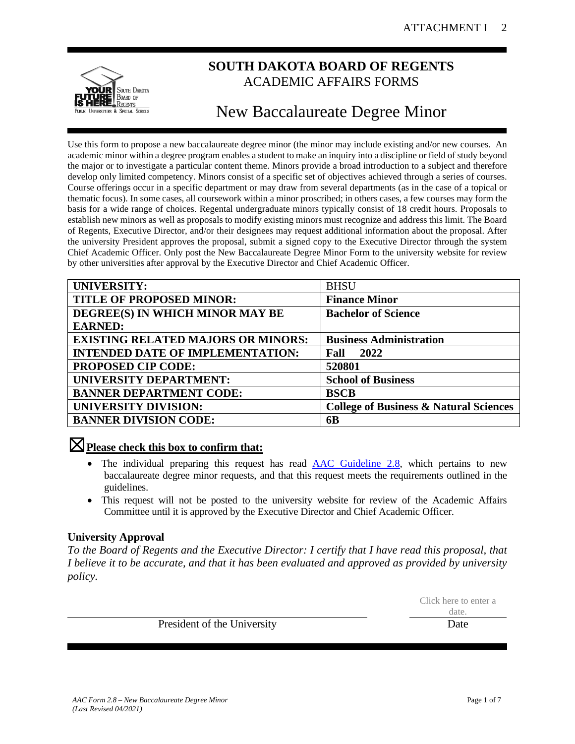

## **SOUTH DAKOTA BOARD OF REGENTS** ACADEMIC AFFAIRS FORMS

# New Baccalaureate Degree Minor

Use this form to propose a new baccalaureate degree minor (the minor may include existing and/or new courses. An academic minor within a degree program enables a student to make an inquiry into a discipline or field of study beyond the major or to investigate a particular content theme. Minors provide a broad introduction to a subject and therefore develop only limited competency. Minors consist of a specific set of objectives achieved through a series of courses. Course offerings occur in a specific department or may draw from several departments (as in the case of a topical or thematic focus). In some cases, all coursework within a minor proscribed; in others cases, a few courses may form the basis for a wide range of choices. Regental undergraduate minors typically consist of 18 credit hours. Proposals to establish new minors as well as proposals to modify existing minors must recognize and address this limit. The Board of Regents, Executive Director, and/or their designees may request additional information about the proposal. After the university President approves the proposal, submit a signed copy to the Executive Director through the system Chief Academic Officer. Only post the New Baccalaureate Degree Minor Form to the university website for review by other universities after approval by the Executive Director and Chief Academic Officer.

| <b>UNIVERSITY:</b>                        | <b>BHSU</b>                                       |
|-------------------------------------------|---------------------------------------------------|
| <b>TITLE OF PROPOSED MINOR:</b>           | <b>Finance Minor</b>                              |
| DEGREE(S) IN WHICH MINOR MAY BE           | <b>Bachelor of Science</b>                        |
| <b>EARNED:</b>                            |                                                   |
| <b>EXISTING RELATED MAJORS OR MINORS:</b> | <b>Business Administration</b>                    |
| <b>INTENDED DATE OF IMPLEMENTATION:</b>   | 2022<br>Fall                                      |
| <b>PROPOSED CIP CODE:</b>                 | 520801                                            |
| UNIVERSITY DEPARTMENT:                    | <b>School of Business</b>                         |
| <b>BANNER DEPARTMENT CODE:</b>            | <b>BSCB</b>                                       |
| <b>UNIVERSITY DIVISION:</b>               | <b>College of Business &amp; Natural Sciences</b> |
| <b>BANNER DIVISION CODE:</b>              | 6B                                                |

## ☒**Please check this box to confirm that:**

- The individual preparing this request has read **AAC** Guideline 2.8, which pertains to new baccalaureate degree minor requests, and that this request meets the requirements outlined in the guidelines.
- This request will not be posted to the university website for review of the Academic Affairs Committee until it is approved by the Executive Director and Chief Academic Officer.

## **University Approval**

*To the Board of Regents and the Executive Director: I certify that I have read this proposal, that I believe it to be accurate, and that it has been evaluated and approved as provided by university policy.*

> Click here to enter a date.

President of the University Date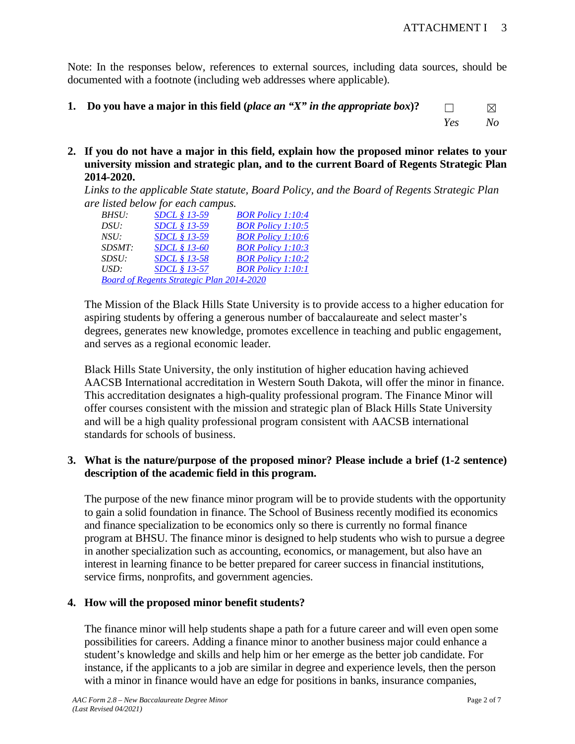Note: In the responses below, references to external sources, including data sources, should be documented with a footnote (including web addresses where applicable).

- **1. Do you have a major in this field (***place an "X" in the appropriate box***)?**  $□$   $\times$ *Yes No*
- **2. If you do not have a major in this field, explain how the proposed minor relates to your university mission and strategic plan, and to the current Board of Regents Strategic Plan 2014-2020.**

*Links to the applicable State statute, Board Policy, and the Board of Regents Strategic Plan are listed below for each campus.* 

| BHSU:  | <i>SDCL § 13-59</i>                              | <b>BOR Policy 1:10:4</b> |
|--------|--------------------------------------------------|--------------------------|
| DSU:   | SDCL § 13-59                                     | <b>BOR Policy 1:10:5</b> |
| NSU:   | SDCL § 13-59                                     | <b>BOR Policy 1:10:6</b> |
| SDSMT: | <i>SDCL § 13-60</i>                              | <b>BOR Policy 1:10:3</b> |
| SDSU:  | <i>SDCL</i> § 13-58                              | <b>BOR Policy 1:10:2</b> |
| USD:   | <i>SDCL</i> § 13-57                              | <b>BOR Policy 1:10:1</b> |
|        | <b>Board of Regents Strategic Plan 2014-2020</b> |                          |

The Mission of the Black Hills State University is to provide access to a higher education for aspiring students by offering a generous number of baccalaureate and select master's degrees, generates new knowledge, promotes excellence in teaching and public engagement, and serves as a regional economic leader*.* 

Black Hills State University, the only institution of higher education having achieved AACSB International accreditation in Western South Dakota, will offer the minor in finance. This accreditation designates a high-quality professional program. The Finance Minor will offer courses consistent with the mission and strategic plan of Black Hills State University and will be a high quality professional program consistent with AACSB international standards for schools of business.

## **3. What is the nature/purpose of the proposed minor? Please include a brief (1-2 sentence) description of the academic field in this program.**

The purpose of the new finance minor program will be to provide students with the opportunity to gain a solid foundation in finance. The School of Business recently modified its economics and finance specialization to be economics only so there is currently no formal finance program at BHSU. The finance minor is designed to help students who wish to pursue a degree in another specialization such as accounting, economics, or management, but also have an interest in learning finance to be better prepared for career success in financial institutions, service firms, nonprofits, and government agencies.

## **4. How will the proposed minor benefit students?**

The finance minor will help students shape a path for a future career and will even open some possibilities for careers. Adding a finance minor to another business major could enhance a student's knowledge and skills and help him or her emerge as the better job candidate. For instance, if the applicants to a job are similar in degree and experience levels, then the person with a minor in finance would have an edge for positions in banks, insurance companies,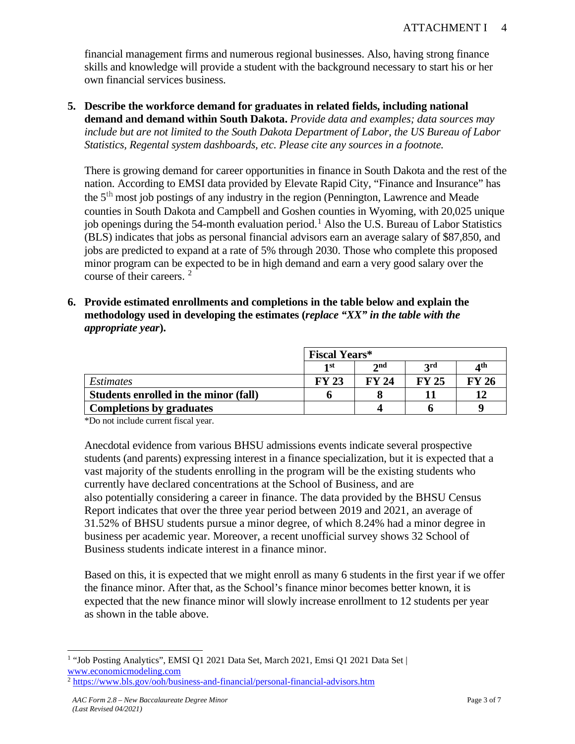financial management firms and numerous regional businesses. Also, having strong finance skills and knowledge will provide a student with the background necessary to start his or her own financial services business.

**5. Describe the workforce demand for graduates in related fields, including national demand and demand within South Dakota.** *Provide data and examples; data sources may include but are not limited to the South Dakota Department of Labor, the US Bureau of Labor Statistics, Regental system dashboards, etc. Please cite any sources in a footnote.*

There is growing demand for career opportunities in finance in South Dakota and the rest of the nation. According to EMSI data provided by Elevate Rapid City, "Finance and Insurance" has the  $5<sup>th</sup>$  most job postings of any industry in the region (Pennington, Lawrence and Meade counties in South Dakota and Campbell and Goshen counties in Wyoming, with 20,025 unique job openings during the 54-month evaluation period.<sup>[1](#page-3-0)</sup> Also the U.S. Bureau of Labor Statistics (BLS) indicates that jobs as personal financial advisors earn an average salary of \$87,850, and jobs are predicted to expand at a rate of 5% through 2030. Those who complete this proposed minor program can be expected to be in high demand and earn a very good salary over the course of their careers. [2](#page-3-1)

**6. Provide estimated enrollments and completions in the table below and explain the methodology used in developing the estimates (***replace "XX" in the table with the appropriate year***).** 

|                                       |                    | <b>Fiscal Years*</b> |       |       |  |  |
|---------------------------------------|--------------------|----------------------|-------|-------|--|--|
|                                       | 2nd<br>1 st<br>2rd |                      |       |       |  |  |
| <i>Estimates</i>                      | <b>FY 23</b>       | <b>FY 24</b>         | FY 25 | FY 26 |  |  |
| Students enrolled in the minor (fall) |                    |                      |       |       |  |  |
| <b>Completions by graduates</b>       |                    |                      |       |       |  |  |

\*Do not include current fiscal year.

Anecdotal evidence from various BHSU admissions events indicate several prospective students (and parents) expressing interest in a finance specialization, but it is expected that a vast majority of the students enrolling in the program will be the existing students who currently have declared concentrations at the School of Business, and are also potentially considering a career in finance. The data provided by the BHSU Census Report indicates that over the three year period between 2019 and 2021, an average of 31.52% of BHSU students pursue a minor degree, of which 8.24% had a minor degree in business per academic year. Moreover, a recent unofficial survey shows 32 School of Business students indicate interest in a finance minor.

Based on this, it is expected that we might enroll as many 6 students in the first year if we offer the finance minor. After that, as the School's finance minor becomes better known, it is expected that the new finance minor will slowly increase enrollment to 12 students per year as shown in the table above.

<span id="page-3-0"></span><sup>1</sup> "Job Posting Analytics", EMSI Q1 2021 Data Set, March 2021, Emsi Q1 2021 Data Set | [www.economicmodeling.com](http://www.economicmodeling.com/) 2 <https://www.bls.gov/ooh/business-and-financial/personal-financial-advisors.htm>

<span id="page-3-1"></span>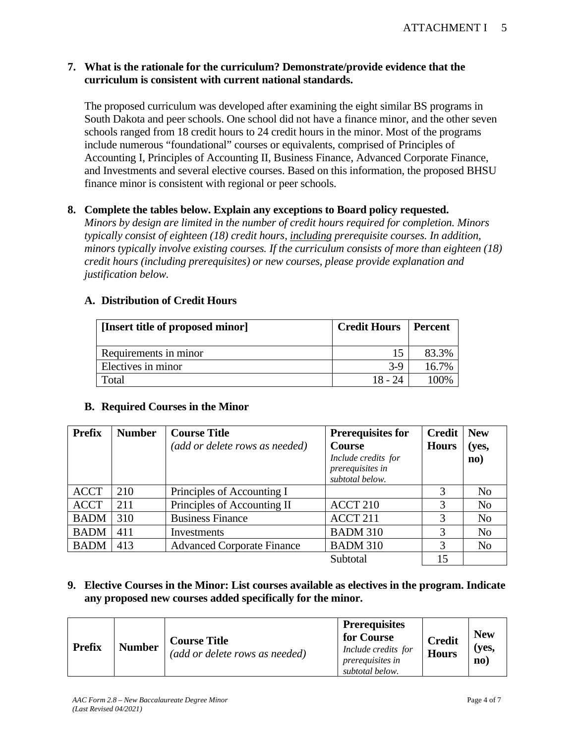## **7. What is the rationale for the curriculum? Demonstrate/provide evidence that the curriculum is consistent with current national standards.**

The proposed curriculum was developed after examining the eight similar BS programs in South Dakota and peer schools. One school did not have a finance minor, and the other seven schools ranged from 18 credit hours to 24 credit hours in the minor. Most of the programs include numerous "foundational" courses or equivalents, comprised of Principles of Accounting I, Principles of Accounting II, Business Finance, Advanced Corporate Finance, and Investments and several elective courses. Based on this information, the proposed BHSU finance minor is consistent with regional or peer schools.

## **8. Complete the tables below. Explain any exceptions to Board policy requested.**

*Minors by design are limited in the number of credit hours required for completion. Minors typically consist of eighteen (18) credit hours, including prerequisite courses. In addition, minors typically involve existing courses. If the curriculum consists of more than eighteen (18) credit hours (including prerequisites) or new courses, please provide explanation and justification below.*

## **A. Distribution of Credit Hours**

| [Insert title of proposed minor] | <b>Credit Hours</b> | Percent |
|----------------------------------|---------------------|---------|
| Requirements in minor            |                     | 83.3%   |
| Electives in minor               | $3-9$               | 16.7%   |
| Total                            | 18 - 24             | 100%    |

### **B. Required Courses in the Minor**

| <b>Prefix</b> | <b>Number</b> | <b>Course Title</b><br>(add or delete rows as needed) | <b>Prerequisites for</b><br><b>Course</b><br>Include credits for<br>prerequisites in<br>subtotal below. | <b>Credit</b><br><b>Hours</b> | <b>New</b><br>(yes,<br>$\mathbf{no}$ |
|---------------|---------------|-------------------------------------------------------|---------------------------------------------------------------------------------------------------------|-------------------------------|--------------------------------------|
| <b>ACCT</b>   | 210           | Principles of Accounting I                            |                                                                                                         | 3                             | N <sub>o</sub>                       |
| <b>ACCT</b>   | 211           | Principles of Accounting II                           | ACCT <sub>210</sub>                                                                                     | 3                             | N <sub>o</sub>                       |
| <b>BADM</b>   | 310           | <b>Business Finance</b>                               | ACCT <sub>211</sub>                                                                                     | 3                             | N <sub>o</sub>                       |
| <b>BADM</b>   | 411           | Investments                                           | <b>BADM 310</b>                                                                                         | 3                             | N <sub>o</sub>                       |
| <b>BADM</b>   | 413           | <b>Advanced Corporate Finance</b>                     | <b>BADM 310</b>                                                                                         | 3                             | N <sub>o</sub>                       |
|               |               |                                                       | Subtotal                                                                                                | 15                            |                                      |

**9. Elective Courses in the Minor: List courses available as electives in the program. Indicate any proposed new courses added specifically for the minor.**

| <b>Number</b><br><b>Prefix</b> | <b>Course Title</b><br>(add or delete rows as needed) | <b>Prerequisites</b><br>for Course<br>Include credits for<br><i>prerequisites in</i><br>subtotal below. | <b>Credit</b><br><b>Hours</b> | <b>New</b><br>(ves,<br>$\mathbf{n}\mathbf{o}$ |
|--------------------------------|-------------------------------------------------------|---------------------------------------------------------------------------------------------------------|-------------------------------|-----------------------------------------------|
|--------------------------------|-------------------------------------------------------|---------------------------------------------------------------------------------------------------------|-------------------------------|-----------------------------------------------|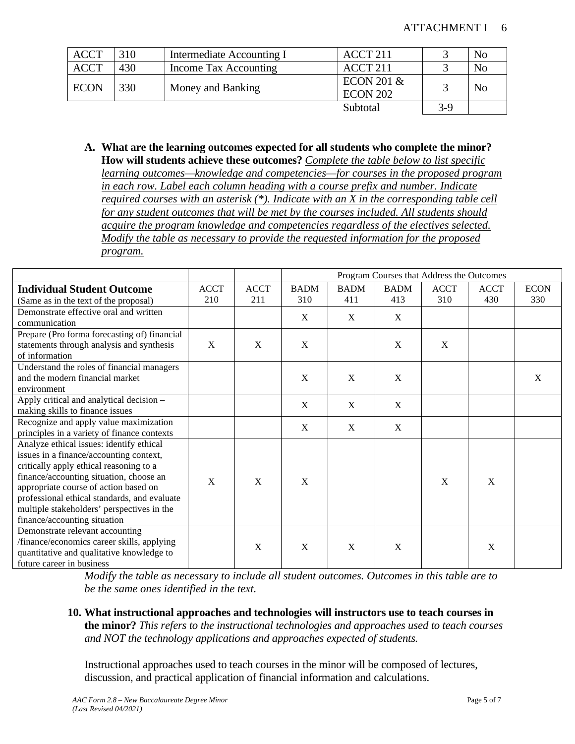| <b>ACCT</b> | 310 | Intermediate Accounting I | ACCT <sub>211</sub>                      |       | N <sub>o</sub> |
|-------------|-----|---------------------------|------------------------------------------|-------|----------------|
| <b>ACCT</b> | 430 | Income Tax Accounting     | ACCT <sub>211</sub>                      |       | N <sub>o</sub> |
| <b>ECON</b> | 330 | Money and Banking         | <b>ECON 201 &amp;</b><br><b>ECON 202</b> |       | N <sub>o</sub> |
|             |     |                           | Subtotal                                 | $3-9$ |                |

**A. What are the learning outcomes expected for all students who complete the minor? How will students achieve these outcomes?** *Complete the table below to list specific learning outcomes—knowledge and competencies—for courses in the proposed program in each row. Label each column heading with a course prefix and number. Indicate required courses with an asterisk (\*). Indicate with an X in the corresponding table cell for any student outcomes that will be met by the courses included. All students should acquire the program knowledge and competencies regardless of the electives selected. Modify the table as necessary to provide the requested information for the proposed program.* 

|                                              |              |              |             |             |             | Program Courses that Address the Outcomes |              |             |
|----------------------------------------------|--------------|--------------|-------------|-------------|-------------|-------------------------------------------|--------------|-------------|
| <b>Individual Student Outcome</b>            | <b>ACCT</b>  | <b>ACCT</b>  | <b>BADM</b> | <b>BADM</b> | <b>BADM</b> | <b>ACCT</b>                               | <b>ACCT</b>  | <b>ECON</b> |
| (Same as in the text of the proposal)        | 210          | 211          | 310         | 411         | 413         | 310                                       | 430          | 330         |
| Demonstrate effective oral and written       |              |              | X           | X           | X           |                                           |              |             |
| communication                                |              |              |             |             |             |                                           |              |             |
| Prepare (Pro forma forecasting of) financial |              |              |             |             |             |                                           |              |             |
| statements through analysis and synthesis    | X            | X            | X           |             | X           | X                                         |              |             |
| of information                               |              |              |             |             |             |                                           |              |             |
| Understand the roles of financial managers   |              |              |             |             |             |                                           |              |             |
| and the modern financial market              |              |              | X           | X           | $\mathbf X$ |                                           |              | X           |
| environment                                  |              |              |             |             |             |                                           |              |             |
| Apply critical and analytical decision -     |              |              | $\mathbf X$ | X           | $\mathbf X$ |                                           |              |             |
| making skills to finance issues              |              |              |             |             |             |                                           |              |             |
| Recognize and apply value maximization       |              |              | X           | X           | X           |                                           |              |             |
| principles in a variety of finance contexts  |              |              |             |             |             |                                           |              |             |
| Analyze ethical issues: identify ethical     |              |              |             |             |             |                                           |              |             |
| issues in a finance/accounting context,      |              |              |             |             |             |                                           |              |             |
| critically apply ethical reasoning to a      |              |              |             |             |             |                                           |              |             |
| finance/accounting situation, choose an      | $\mathbf{X}$ | $\mathbf{X}$ | X           |             |             | X                                         | $\mathbf{X}$ |             |
| appropriate course of action based on        |              |              |             |             |             |                                           |              |             |
| professional ethical standards, and evaluate |              |              |             |             |             |                                           |              |             |
| multiple stakeholders' perspectives in the   |              |              |             |             |             |                                           |              |             |
| finance/accounting situation                 |              |              |             |             |             |                                           |              |             |
| Demonstrate relevant accounting              |              |              |             |             |             |                                           |              |             |
| /finance/economics career skills, applying   |              | X            | X           | X           | X           |                                           | X            |             |
| quantitative and qualitative knowledge to    |              |              |             |             |             |                                           |              |             |
| future career in business                    |              |              |             |             |             |                                           |              |             |

*Modify the table as necessary to include all student outcomes. Outcomes in this table are to be the same ones identified in the text.*

**10. What instructional approaches and technologies will instructors use to teach courses in the minor?** *This refers to the instructional technologies and approaches used to teach courses and NOT the technology applications and approaches expected of students.*

Instructional approaches used to teach courses in the minor will be composed of lectures, discussion, and practical application of financial information and calculations.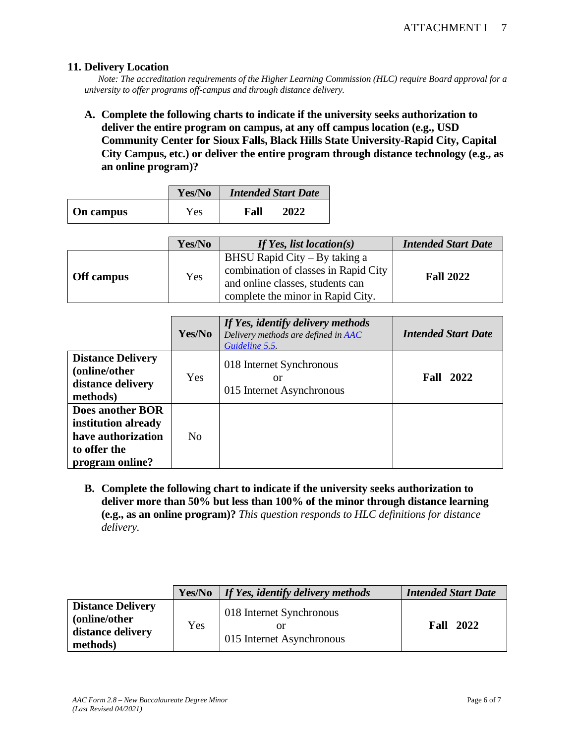### **11. Delivery Location**

*Note: The accreditation requirements of the Higher Learning Commission (HLC) require Board approval for a university to offer programs off-campus and through distance delivery.* 

**A. Complete the following charts to indicate if the university seeks authorization to deliver the entire program on campus, at any off campus location (e.g., USD Community Center for Sioux Falls, Black Hills State University-Rapid City, Capital City Campus, etc.) or deliver the entire program through distance technology (e.g., as an online program)?**

|           | Yes/No | <b>Intended Start Date</b> |
|-----------|--------|----------------------------|
| On campus | Yes    | 2022<br>Fall               |

|            | Yes/No | If Yes, list location(s)                                                                                                                       | <b>Intended Start Date</b> |
|------------|--------|------------------------------------------------------------------------------------------------------------------------------------------------|----------------------------|
| Off campus | Yes    | BHSU Rapid City – By taking a<br>combination of classes in Rapid City<br>and online classes, students can<br>complete the minor in Rapid City. | <b>Fall 2022</b>           |

|                                                                                                  | Yes/No         | If Yes, identify delivery methods<br>Delivery methods are defined in AAC<br>Guideline 5.5. | <b>Intended Start Date</b> |
|--------------------------------------------------------------------------------------------------|----------------|--------------------------------------------------------------------------------------------|----------------------------|
| <b>Distance Delivery</b><br>(online/other)<br>distance delivery<br>methods)                      | Yes            | 018 Internet Synchronous<br>or<br>015 Internet Asynchronous                                | <b>Fall 2022</b>           |
| Does another BOR<br>institution already<br>have authorization<br>to offer the<br>program online? | N <sub>0</sub> |                                                                                            |                            |

**B. Complete the following chart to indicate if the university seeks authorization to deliver more than 50% but less than 100% of the minor through distance learning (e.g., as an online program)?** *This question responds to HLC definitions for distance delivery.*

|                                                                             | Yes/No | If Yes, identify delivery methods                     | <b>Intended Start Date</b> |
|-----------------------------------------------------------------------------|--------|-------------------------------------------------------|----------------------------|
| <b>Distance Delivery</b><br>(online/other)<br>distance delivery<br>methods) | Yes    | 018 Internet Synchronous<br>015 Internet Asynchronous | 2022<br>Fall               |